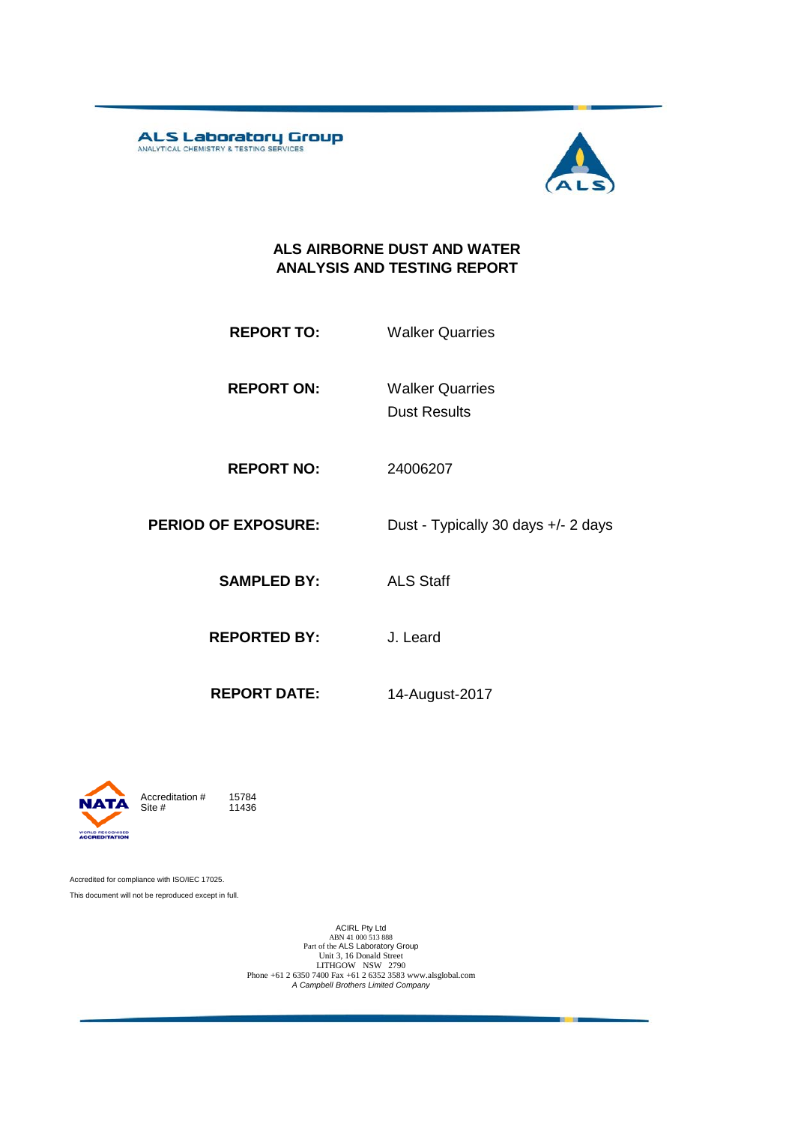**ALS Laboratory Group** 



#### **ALS AIRBORNE DUST AND WATER ANALYSIS AND TESTING REPORT**

- **REPORT TO:** Walker Quarries
- **REPORT ON:** Dust Results Walker Quarries
- **REPORT NO:** 24006207
- **PERIOD OF EXPOSURE:** Dust Typically 30 days +/- 2 days
	- **SAMPLED BY:** ALS Staff
	- **REPORTED BY:** J. Leard
		-
	- **REPORT DATE:** 14-August-2017



11436

Accredited for compliance with ISO/IEC 17025. This document will not be reproduced except in full.

ACIRL Pty Ltd<br>
ABN 41 000 513 888<br>
Part of the ALS Laboratory Group<br>
Unit 3, 16 Donald Street<br>
LITHGOW NSW 2790<br>
Phone +61 2 6350 7400 Fax +61 2 6352 3583 www.alsglobal.com<br> *A Campbell Brothers Limited Company*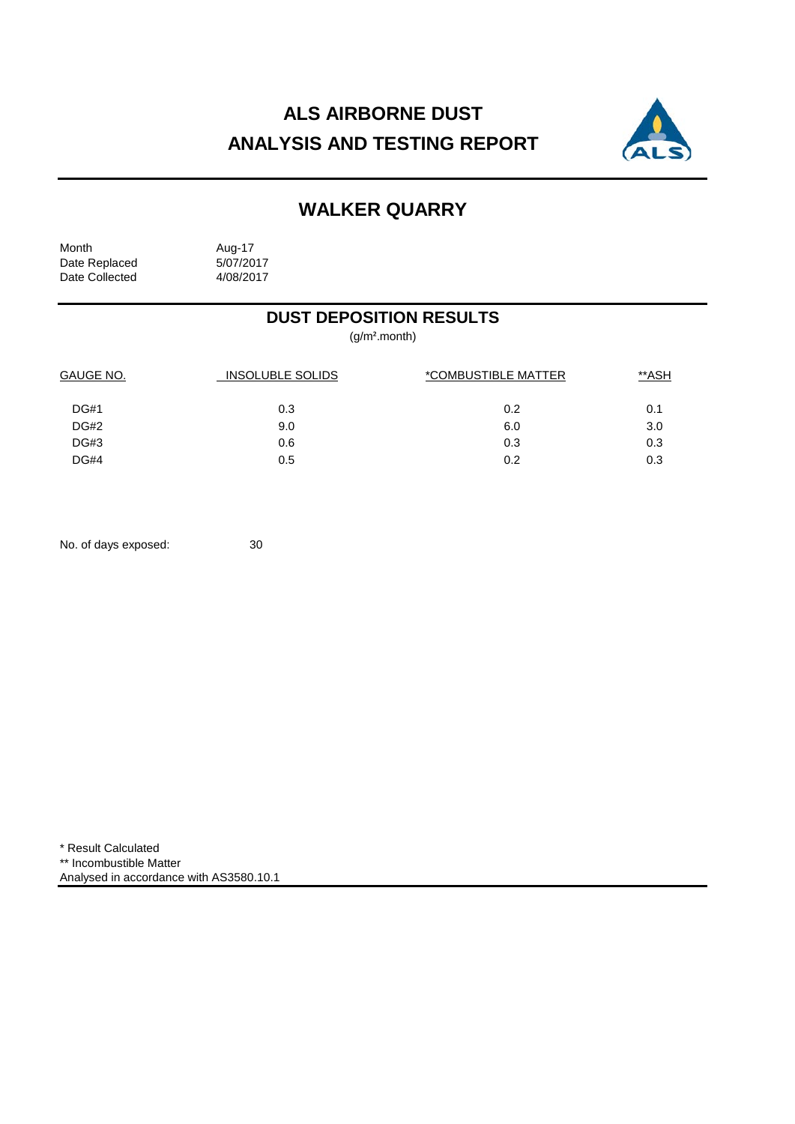# **ALS AIRBORNE DUST ANALYSIS AND TESTING REPORT**



## **WALKER QUARRY**

Month Aug-17<br>Date Replaced 5/07/2017 Date Replaced 5/07/2017<br>Date Collected 4/08/2017 Date Collected

### **DUST DEPOSITION RESULTS**

(g/m².month)

| GAUGE NO.   | <b>INSOLUBLE SOLIDS</b> | *COMBUSTIBLE MATTER | **ASH |  |
|-------------|-------------------------|---------------------|-------|--|
| <b>DG#1</b> | 0.3                     | 0.2                 | 0.1   |  |
| <b>DG#2</b> | 9.0                     | 6.0                 | 3.0   |  |
| <b>DG#3</b> | 0.6                     | 0.3                 | 0.3   |  |
| <b>DG#4</b> | 0.5                     | 0.2                 | 0.3   |  |
|             |                         |                     |       |  |

No. of days exposed: 30

\* Result Calculated \*\* Incombustible Matter Analysed in accordance with AS3580.10.1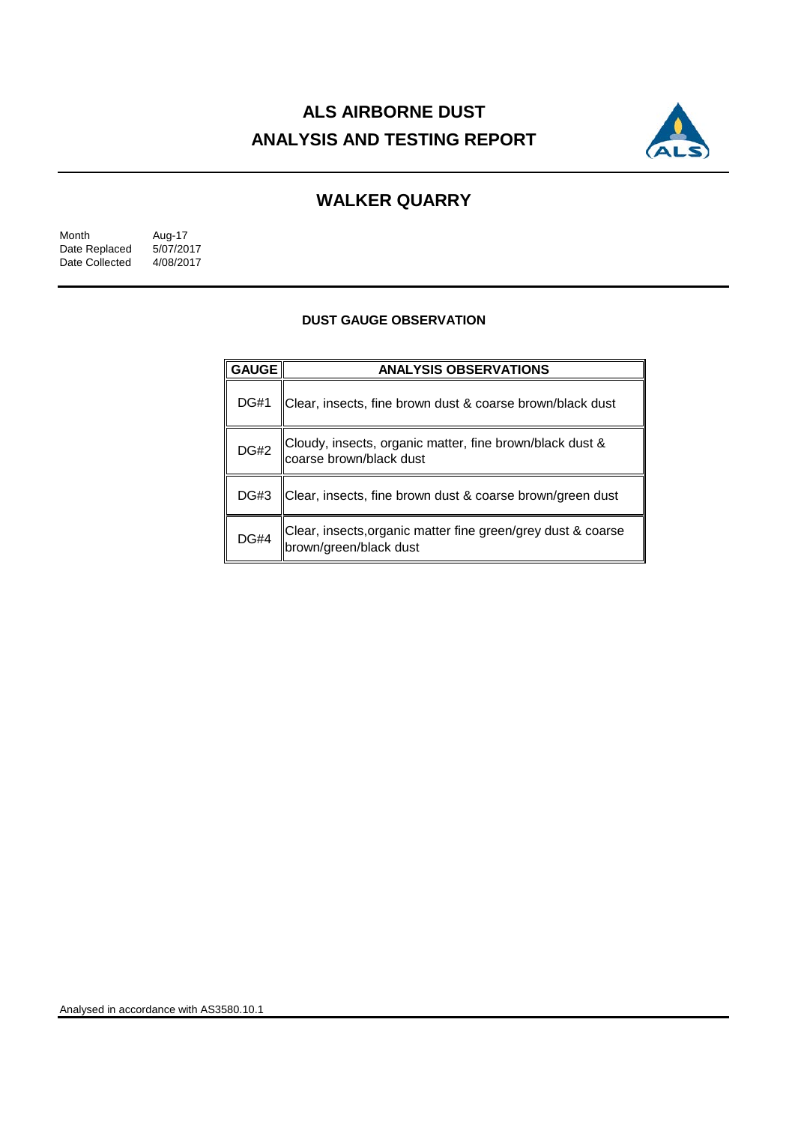# **ALS AIRBORNE DUST ANALYSIS AND TESTING REPORT**



## **WALKER QUARRY**

| Month          | Aug-17    |
|----------------|-----------|
| Date Replaced  | 5/07/2017 |
| Date Collected | 4/08/2017 |

#### **DUST GAUGE OBSERVATION**

| <b>GAUGE</b> | <b>ANALYSIS OBSERVATIONS</b>                                                             |  |  |
|--------------|------------------------------------------------------------------------------------------|--|--|
| <b>DG#1</b>  | Clear, insects, fine brown dust & coarse brown/black dust                                |  |  |
|              | DG#2 Cloudy, insects, organic matter, fine brown/black dust &<br>coarse brown/black dust |  |  |
| DG#3         | Clear, insects, fine brown dust & coarse brown/green dust                                |  |  |
| <b>DG#4</b>  | Clear, insects, organic matter fine green/grey dust & coarse<br> brown/green/black dust  |  |  |